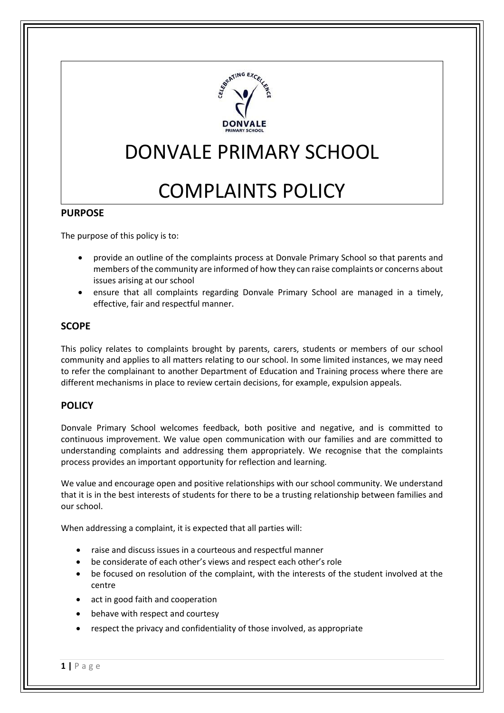

## DONVALE PRIMARY SCHOOL

# COMPLAINTS POLICY

#### **PURPOSE**

The purpose of this policy is to:

- provide an outline of the complaints process at Donvale Primary School so that parents and members of the community are informed of how they can raise complaints or concerns about issues arising at our school
- ensure that all complaints regarding Donvale Primary School are managed in a timely, effective, fair and respectful manner.

## **SCOPE**

This policy relates to complaints brought by parents, carers, students or members of our school community and applies to all matters relating to our school. In some limited instances, we may need to refer the complainant to another Department of Education and Training process where there are different mechanisms in place to review certain decisions, for example, expulsion appeals.

#### **POLICY**

Donvale Primary School welcomes feedback, both positive and negative, and is committed to continuous improvement. We value open communication with our families and are committed to understanding complaints and addressing them appropriately. We recognise that the complaints process provides an important opportunity for reflection and learning.

We value and encourage open and positive relationships with our school community. We understand that it is in the best interests of students for there to be a trusting relationship between families and our school.

When addressing a complaint, it is expected that all parties will:

- raise and discuss issues in a courteous and respectful manner
- be considerate of each other's views and respect each other's role
- be focused on resolution of the complaint, with the interests of the student involved at the centre
- act in good faith and cooperation
- behave with respect and courtesy
- respect the privacy and confidentiality of those involved, as appropriate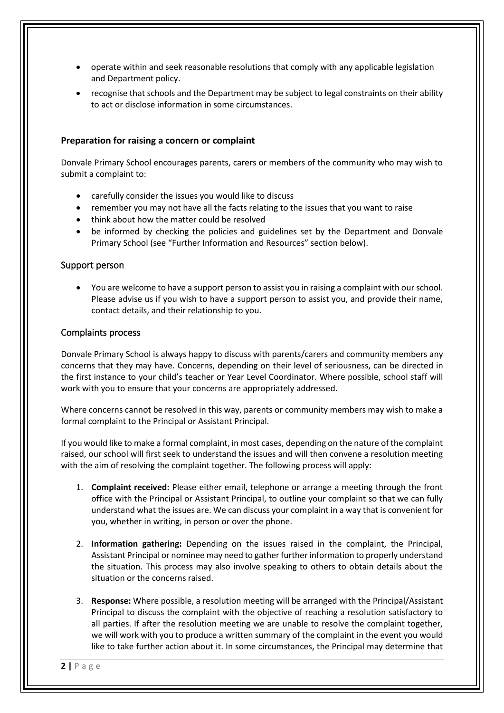- operate within and seek reasonable resolutions that comply with any applicable legislation and Department policy.
- recognise that schools and the Department may be subject to legal constraints on their ability to act or disclose information in some circumstances.

#### **Preparation for raising a concern or complaint**

Donvale Primary School encourages parents, carers or members of the community who may wish to submit a complaint to:

- carefully consider the issues you would like to discuss
- remember you may not have all the facts relating to the issues that you want to raise
- think about how the matter could be resolved
- be informed by checking the policies and guidelines set by the Department and Donvale Primary School (see "Further Information and Resources" section below).

#### Support person

• You are welcome to have a support person to assist you in raising a complaint with our school. Please advise us if you wish to have a support person to assist you, and provide their name, contact details, and their relationship to you.

#### Complaints process

Donvale Primary School is always happy to discuss with parents/carers and community members any concerns that they may have. Concerns, depending on their level of seriousness, can be directed in the first instance to your child's teacher or Year Level Coordinator. Where possible, school staff will work with you to ensure that your concerns are appropriately addressed.

Where concerns cannot be resolved in this way, parents or community members may wish to make a formal complaint to the Principal or Assistant Principal.

If you would like to make a formal complaint, in most cases, depending on the nature of the complaint raised, our school will first seek to understand the issues and will then convene a resolution meeting with the aim of resolving the complaint together. The following process will apply:

- 1. **Complaint received:** Please either email, telephone or arrange a meeting through the front office with the Principal or Assistant Principal, to outline your complaint so that we can fully understand what the issues are. We can discuss your complaint in a way that is convenient for you, whether in writing, in person or over the phone.
- 2. **Information gathering:** Depending on the issues raised in the complaint, the Principal, Assistant Principal or nominee may need to gather further information to properly understand the situation. This process may also involve speaking to others to obtain details about the situation or the concerns raised.
- 3. **Response:** Where possible, a resolution meeting will be arranged with the Principal/Assistant Principal to discuss the complaint with the objective of reaching a resolution satisfactory to all parties. If after the resolution meeting we are unable to resolve the complaint together, we will work with you to produce a written summary of the complaint in the event you would like to take further action about it. In some circumstances, the Principal may determine that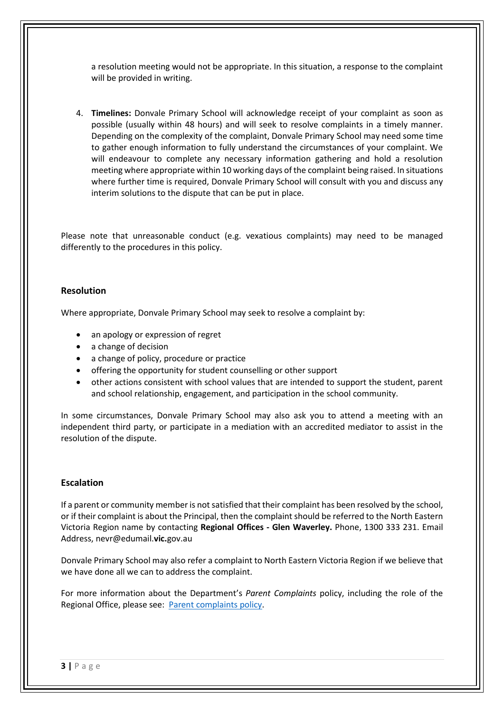a resolution meeting would not be appropriate. In this situation, a response to the complaint will be provided in writing.

4. **Timelines:** Donvale Primary School will acknowledge receipt of your complaint as soon as possible (usually within 48 hours) and will seek to resolve complaints in a timely manner. Depending on the complexity of the complaint, Donvale Primary School may need some time to gather enough information to fully understand the circumstances of your complaint. We will endeavour to complete any necessary information gathering and hold a resolution meeting where appropriate within 10 working days of the complaint being raised. In situations where further time is required, Donvale Primary School will consult with you and discuss any interim solutions to the dispute that can be put in place.

Please note that unreasonable conduct (e.g. vexatious complaints) may need to be managed differently to the procedures in this policy.

#### **Resolution**

Where appropriate, Donvale Primary School may seek to resolve a complaint by:

- an apology or expression of regret
- a change of decision
- a change of policy, procedure or practice
- offering the opportunity for student counselling or other support
- other actions consistent with school values that are intended to support the student, parent and school relationship, engagement, and participation in the school community.

In some circumstances, Donvale Primary School may also ask you to attend a meeting with an independent third party, or participate in a mediation with an accredited mediator to assist in the resolution of the dispute.

#### **Escalation**

If a parent or community member is not satisfied that their complaint has been resolved by the school, or if their complaint is about the Principal, then the complaint should be referred to the North Eastern Victoria Region name by contacting **Regional Offices - Glen Waverley.** Phone, 1300 333 231. Email Address, nevr@edumail.**vic.**gov.au

Donvale Primary School may also refer a complaint to North Eastern Victoria Region if we believe that we have done all we can to address the complaint.

For more information about the Department's *Parent Complaints* policy, including the role of the Regional Office, please see: [Parent complaints policy.](http://www.education.vic.gov.au/Documents/school/principals/spag/community/policyparentsconcerns.pdf)